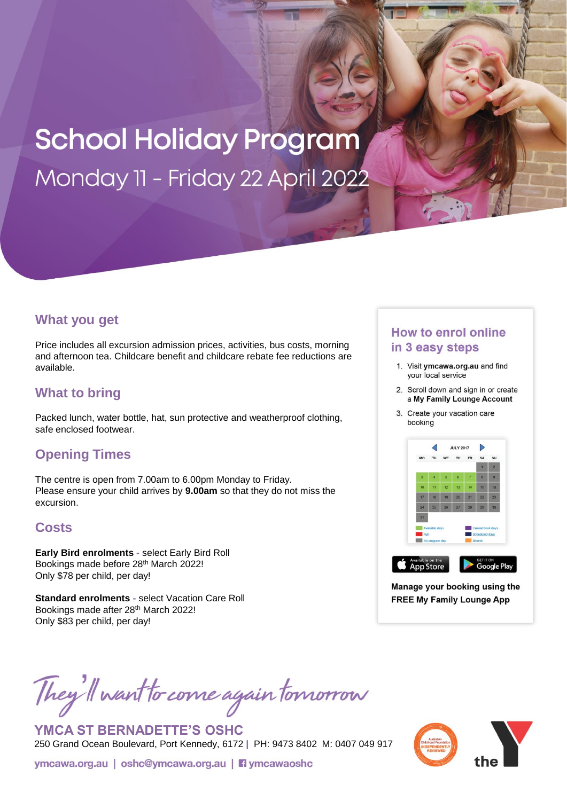# **School Holiday Program** Monday 11 - Friday 22 April 2022

#### **What you get**

Price includes all excursion admission prices, activities, bus costs, morning and afternoon tea. Childcare benefit and childcare rebate fee reductions are available.

# **What to bring**

Packed lunch, water bottle, hat, sun protective and weatherproof clothing, safe enclosed footwear.

## **Opening Times**

The centre is open from 7.00am to 6.00pm Monday to Friday. Please ensure your child arrives by **9.00am** so that they do not miss the excursion.

## **Costs**

**Early Bird enrolments -** select Early Bird Roll Bookings made before 28th March 2022! Only \$78 per child, per day!

**Standard enrolments -** select Vacation Care Roll Bookings made after 28th March 2022! Only \$83 per child, per day!

#### **How to enrol online** in 3 easy steps

- 1. Visit ymcawa.org.au and find your local service
- 2. Scroll down and sign in or create a My Family Lounge Account
- 3. Create your vacation care booking



Manage your booking using the **FREE My Family Lounge App** 

They'll want to come again tomorrow

**YMCA ST BERNADETTE'S OSHC** 250 Grand Ocean Boulevard, Port Kennedy, 6172 **|** PH: 9473 8402 M: 0407 049 917

ymcawa.org.au | oshc@ymcawa.org.au | **Fi** ymcawaoshc